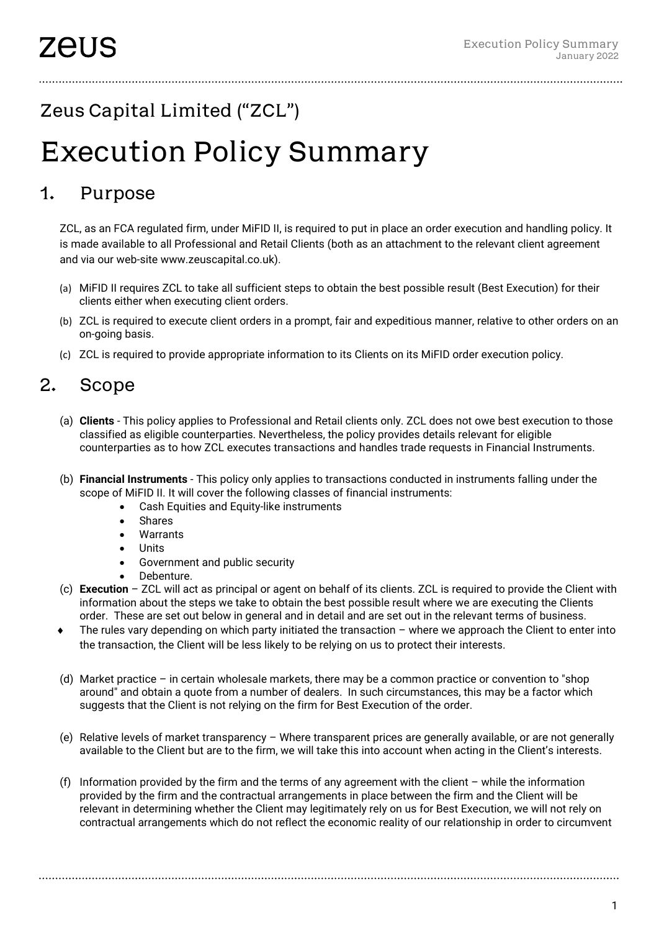## Zeus Capital Limited ("ZCL")

# Execution Policy Summary

### 1. Purpose

ZCL, as an FCA regulated firm, under MiFID II, is required to put in place an order execution and handling policy. It is made available to all Professional and Retail Clients (both as an attachment to the relevant client agreement and via our web-site www.zeuscapital.co.uk).

- (a) MiFID II requires ZCL to take all sufficient steps to obtain the best possible result (Best Execution) for their clients either when executing client orders.
- (b) ZCL is required to execute client orders in a prompt, fair and expeditious manner, relative to other orders on an on-going basis.
- (c) ZCL is required to provide appropriate information to its Clients on its MiFID order execution policy.

### 2. Scope

- (a) **Clients** This policy applies to Professional and Retail clients only. ZCL does not owe best execution to those classified as eligible counterparties. Nevertheless, the policy provides details relevant for eligible counterparties as to how ZCL executes transactions and handles trade requests in Financial Instruments.
- (b) **Financial Instruments** This policy only applies to transactions conducted in instruments falling under the scope of MiFID II. It will cover the following classes of financial instruments:
	- Cash Equities and Equity-like instruments
	- **Shares**
	- **Warrants**
	- Units
	- Government and public security
	- Debenture.
- (c) **Execution** ZCL will act as principal or agent on behalf of its clients. ZCL is required to provide the Client with information about the steps we take to obtain the best possible result where we are executing the Clients order. These are set out below in general and in detail and are set out in the relevant terms of business.
- The rules vary depending on which party initiated the transaction where we approach the Client to enter into the transaction, the Client will be less likely to be relying on us to protect their interests.
- (d) Market practice in certain wholesale markets, there may be a common practice or convention to "shop around" and obtain a quote from a number of dealers. In such circumstances, this may be a factor which suggests that the Client is not relying on the firm for Best Execution of the order.
- (e) Relative levels of market transparency Where transparent prices are generally available, or are not generally available to the Client but are to the firm, we will take this into account when acting in the Client's interests.
- (f) Information provided by the firm and the terms of any agreement with the client while the information provided by the firm and the contractual arrangements in place between the firm and the Client will be relevant in determining whether the Client may legitimately rely on us for Best Execution, we will not rely on contractual arrangements which do not reflect the economic reality of our relationship in order to circumvent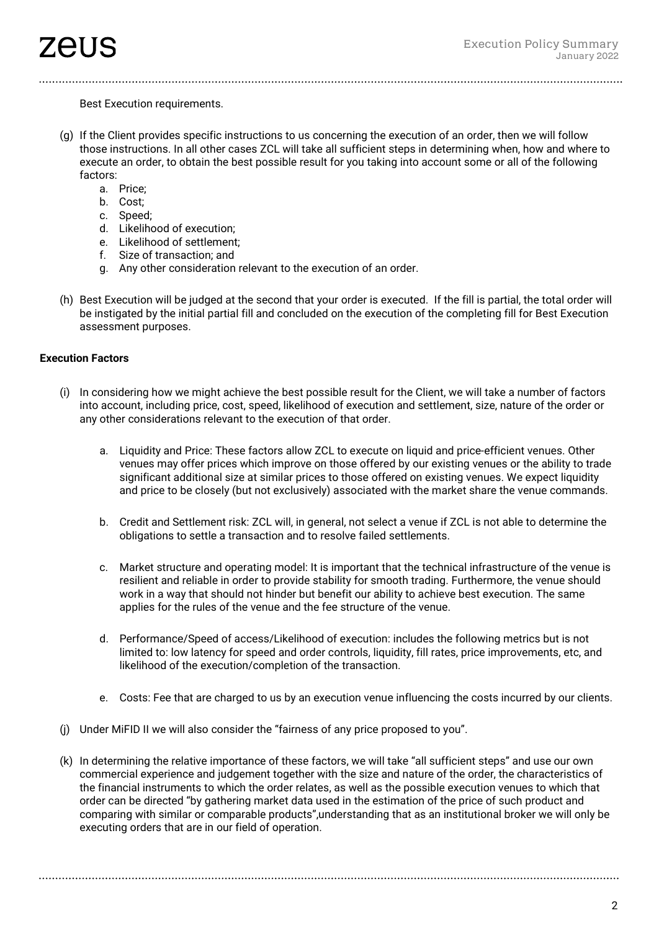Best Execution requirements.

- (g) If the Client provides specific instructions to us concerning the execution of an order, then we will follow those instructions. In all other cases ZCL will take all sufficient steps in determining when, how and where to execute an order, to obtain the best possible result for you taking into account some or all of the following factors:
	- a. Price;
	- b. Cost;
	- c. Speed;
	- d. Likelihood of execution;
	- e. Likelihood of settlement;
	- f. Size of transaction; and
	- g. Any other consideration relevant to the execution of an order.
- (h) Best Execution will be judged at the second that your order is executed. If the fill is partial, the total order will be instigated by the initial partial fill and concluded on the execution of the completing fill for Best Execution assessment purposes.

#### **Execution Factors**

- (i) In considering how we might achieve the best possible result for the Client, we will take a number of factors into account, including price, cost, speed, likelihood of execution and settlement, size, nature of the order or any other considerations relevant to the execution of that order.
	- a. Liquidity and Price: These factors allow ZCL to execute on liquid and price-efficient venues. Other venues may offer prices which improve on those offered by our existing venues or the ability to trade significant additional size at similar prices to those offered on existing venues. We expect liquidity and price to be closely (but not exclusively) associated with the market share the venue commands.
	- b. Credit and Settlement risk: ZCL will, in general, not select a venue if ZCL is not able to determine the obligations to settle a transaction and to resolve failed settlements.
	- c. Market structure and operating model: It is important that the technical infrastructure of the venue is resilient and reliable in order to provide stability for smooth trading. Furthermore, the venue should work in a way that should not hinder but benefit our ability to achieve best execution. The same applies for the rules of the venue and the fee structure of the venue.
	- d. Performance/Speed of access/Likelihood of execution: includes the following metrics but is not limited to: low latency for speed and order controls, liquidity, fill rates, price improvements, etc, and likelihood of the execution/completion of the transaction.
	- e. Costs: Fee that are charged to us by an execution venue influencing the costs incurred by our clients.
- (j) Under MiFID II we will also consider the "fairness of any price proposed to you".
- (k) In determining the relative importance of these factors, we will take "all sufficient steps" and use our own commercial experience and judgement together with the size and nature of the order, the characteristics of the financial instruments to which the order relates, as well as the possible execution venues to which that order can be directed "by gathering market data used in the estimation of the price of such product and comparing with similar or comparable products",understanding that as an institutional broker we will only be executing orders that are in our field of operation.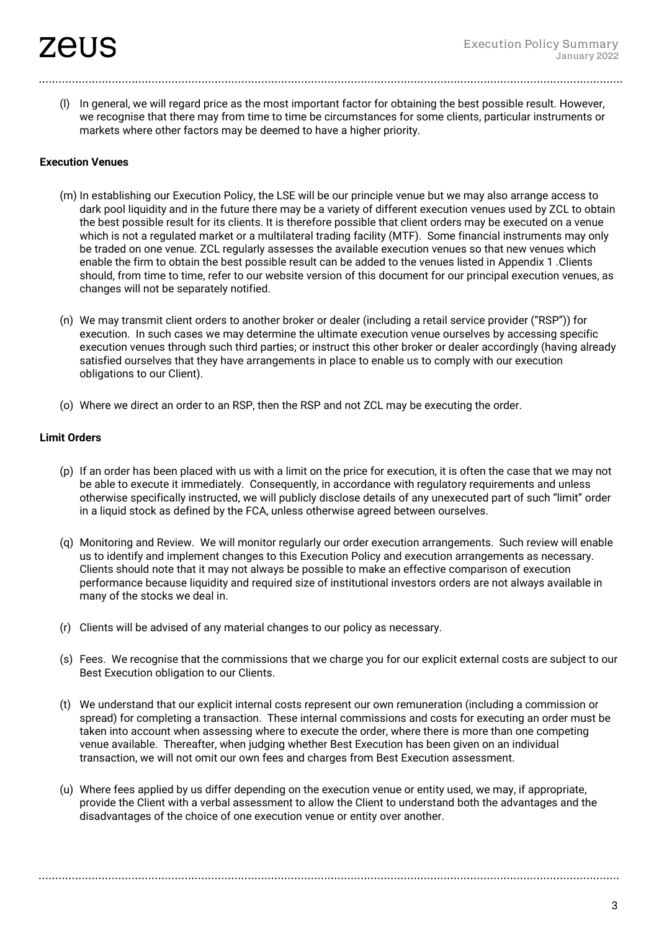(l) In general, we will regard price as the most important factor for obtaining the best possible result. However, we recognise that there may from time to time be circumstances for some clients, particular instruments or markets where other factors may be deemed to have a higher priority.

#### **Execution Venues**

- (m) In establishing our Execution Policy, the LSE will be our principle venue but we may also arrange access to dark pool liquidity and in the future there may be a variety of different execution venues used by ZCL to obtain the best possible result for its clients. It is therefore possible that client orders may be executed on a venue which is not a regulated market or a multilateral trading facility (MTF). Some financial instruments may only be traded on one venue. ZCL regularly assesses the available execution venues so that new venues which enable the firm to obtain the best possible result can be added to the venues listed in Appendix 1 .Clients should, from time to time, refer to our website version of this document for our principal execution venues, as changes will not be separately notified.
- (n) We may transmit client orders to another broker or dealer (including a retail service provider ("RSP")) for execution. In such cases we may determine the ultimate execution venue ourselves by accessing specific execution venues through such third parties; or instruct this other broker or dealer accordingly (having already satisfied ourselves that they have arrangements in place to enable us to comply with our execution obligations to our Client).
- (o) Where we direct an order to an RSP, then the RSP and not ZCL may be executing the order.

#### **Limit Orders**

- (p) If an order has been placed with us with a limit on the price for execution, it is often the case that we may not be able to execute it immediately. Consequently, in accordance with regulatory requirements and unless otherwise specifically instructed, we will publicly disclose details of any unexecuted part of such "limit" order in a liquid stock as defined by the FCA, unless otherwise agreed between ourselves.
- (q) Monitoring and Review. We will monitor regularly our order execution arrangements. Such review will enable us to identify and implement changes to this Execution Policy and execution arrangements as necessary. Clients should note that it may not always be possible to make an effective comparison of execution performance because liquidity and required size of institutional investors orders are not always available in many of the stocks we deal in.
- (r) Clients will be advised of any material changes to our policy as necessary.
- (s) Fees. We recognise that the commissions that we charge you for our explicit external costs are subject to our Best Execution obligation to our Clients.
- (t) We understand that our explicit internal costs represent our own remuneration (including a commission or spread) for completing a transaction. These internal commissions and costs for executing an order must be taken into account when assessing where to execute the order, where there is more than one competing venue available. Thereafter, when judging whether Best Execution has been given on an individual transaction, we will not omit our own fees and charges from Best Execution assessment.
- (u) Where fees applied by us differ depending on the execution venue or entity used, we may, if appropriate, provide the Client with a verbal assessment to allow the Client to understand both the advantages and the disadvantages of the choice of one execution venue or entity over another.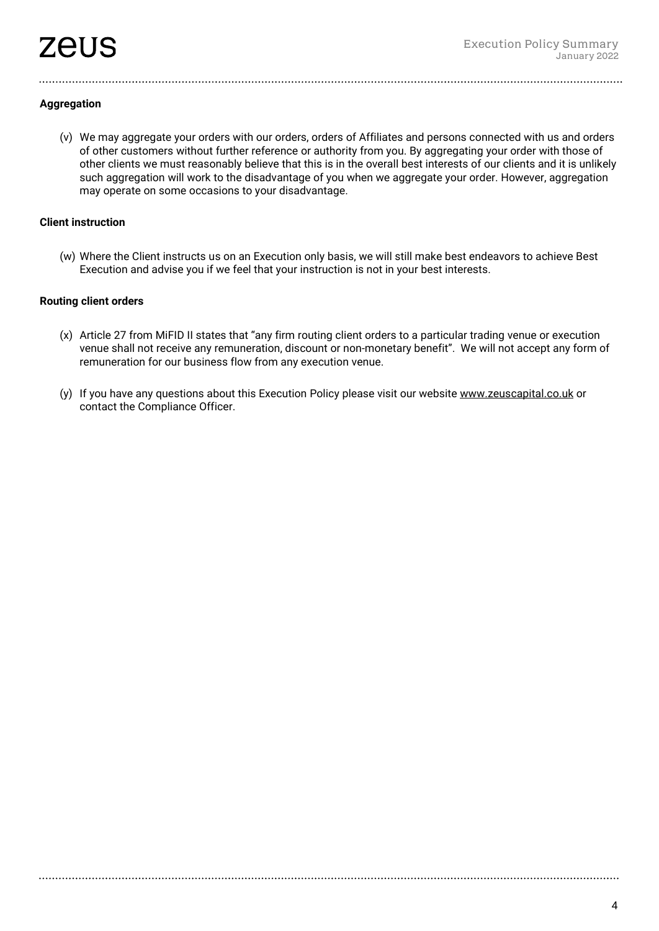#### **Aggregation**

(v) We may aggregate your orders with our orders, orders of Affiliates and persons connected with us and orders of other customers without further reference or authority from you. By aggregating your order with those of other clients we must reasonably believe that this is in the overall best interests of our clients and it is unlikely such aggregation will work to the disadvantage of you when we aggregate your order. However, aggregation may operate on some occasions to your disadvantage.

#### **Client instruction**

(w) Where the Client instructs us on an Execution only basis, we will still make best endeavors to achieve Best Execution and advise you if we feel that your instruction is not in your best interests.

#### **Routing client orders**

- (x) Article 27 from MiFID II states that "any firm routing client orders to a particular trading venue or execution venue shall not receive any remuneration, discount or non-monetary benefit". We will not accept any form of remuneration for our business flow from any execution venue.
- (y) If you have any questions about this Execution Policy please visit our websit[e www.zeuscapital.co.uk](http://www.zeuscapital.co.uk/) or contact the Compliance Officer.